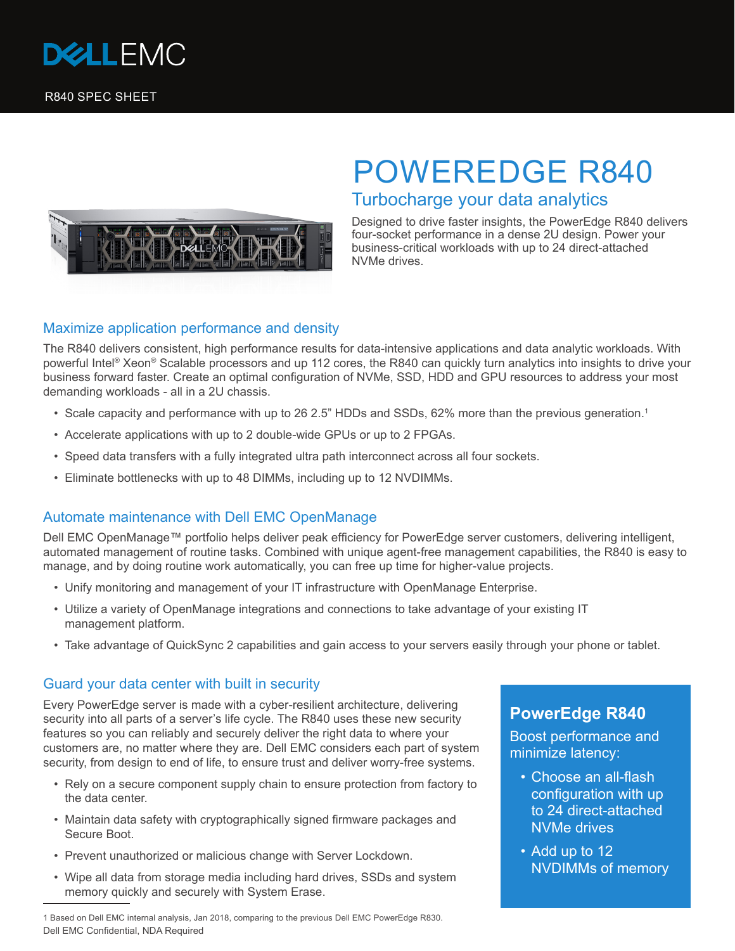



# POWEREDGE R840 Turbocharge your data analytics

Designed to drive faster insights, the PowerEdge R840 delivers four-socket performance in a dense 2U design. Power your business-critical workloads with up to 24 direct-attached NVMe drives.

### Maximize application performance and density

The R840 delivers consistent, high performance results for data-intensive applications and data analytic workloads. With powerful Intel<sup>®</sup> Xeon<sup>®</sup> Scalable processors and up 112 cores, the R840 can quickly turn analytics into insights to drive your business forward faster. Create an optimal configuration of NVMe, SSD, HDD and GPU resources to address your most demanding workloads - all in a 2U chassis.

- Scale capacity and performance with up to 26 2.5" HDDs and SSDs, 62% more than the previous generation.<sup>1</sup>
- Accelerate applications with up to 2 double-wide GPUs or up to 2 FPGAs.
- Speed data transfers with a fully integrated ultra path interconnect across all four sockets.
- Eliminate bottlenecks with up to 48 DIMMs, including up to 12 NVDIMMs.

### Automate maintenance with Dell EMC OpenManage

Dell EMC OpenManage™ portfolio helps deliver peak efficiency for PowerEdge server customers, delivering intelligent, automated management of routine tasks. Combined with unique agent-free management capabilities, the R840 is easy to manage, and by doing routine work automatically, you can free up time for higher-value projects.

- Unify monitoring and management of your IT infrastructure with OpenManage Enterprise.
- Utilize a variety of OpenManage integrations and connections to take advantage of your existing IT management platform.
- Take advantage of QuickSync 2 capabilities and gain access to your servers easily through your phone or tablet.

#### Guard your data center with built in security

Every PowerEdge server is made with a cyber-resilient architecture, delivering security into all parts of a server's life cycle. The R840 uses these new security features so you can reliably and securely deliver the right data to where your customers are, no matter where they are. Dell EMC considers each part of system security, from design to end of life, to ensure trust and deliver worry-free systems.

- Rely on a secure component supply chain to ensure protection from factory to the data center.
- Maintain data safety with cryptographically signed firmware packages and Secure Boot.
- Prevent unauthorized or malicious change with Server Lockdown.
- Wipe all data from storage media including hard drives, SSDs and system memory quickly and securely with System Erase.

1 Based on Dell EMC internal analysis, Jan 2018, comparing to the previous Dell EMC PowerEdge R830. Dell EMC Confidential, NDA Required

## **PowerEdge R840**

Boost performance and minimize latency:

- Choose an all-flash configuration with up to 24 direct-attached NVMe drives
- Add up to 12 NVDIMMs of memory